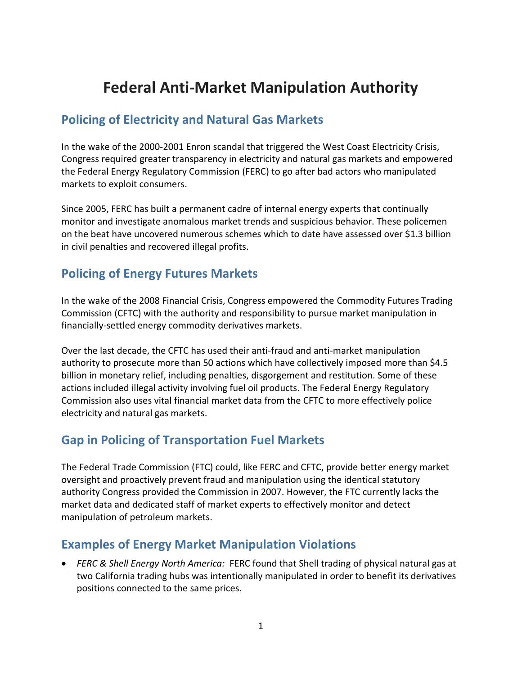# **Federal Anti-Market Manipulation Authority**

#### **Policing of Electricity and Natural Gas Markets**

In the wake of the 2000-2001 Enron scandal that triggered the West Coast Electricity Crisis, Congress required greater transparency in electricity and natural gas markets and empowered the Federal Energy Regulatory Commission (FERC) to go after bad actors who manipulated markets to exploit consumers.

Since 2005, FERC has built a permanent cadre of internal energy experts that continually monitor and investigate anomalous market trends and suspicious behavior. These policemen on the beat have uncovered numerous schemes which to date have assessed over \$1.3 billion in civil penalties and recovered illegal profits.

### **Policing of Energy Futures Markets**

In the wake of the 2008 Financial Crisis, Congress empowered the Commodity Futures Trading Commission (CFTC) with the authority and responsibility to pursue market manipulation in financially-settled energy commodity derivatives markets.

Over the last decade, the CFTC has used their anti-fraud and anti-market manipulation authority to prosecute more than 50 actions which have collectively imposed more than \$4.5 billion in monetary relief, including penalties, disgorgement and restitution. Some of these actions included illegal activity involving fuel oil products. The Federal Energy Regulatory Commission also uses vital financial market data from the CFTC to more effectively police electricity and natural gas markets.

### **Gap in Policing of Transportation Fuel Markets**

The Federal Trade Commission (FTC) could, like FERC and CFTC, provide better energy market oversight and proactively prevent fraud and manipulation using the identical statutory authority Congress provided the Commission in 2007. However, the FTC currently lacks the market data and dedicated staff of market experts to effectively monitor and detect manipulation of petroleum markets.

### **Examples of Energy Market Manipulation Violations**

 *FERC & Shell Energy North America:* FERC found that Shell trading of physical natural gas at two California trading hubs was intentionally manipulated in order to benefit its derivatives positions connected to the same prices.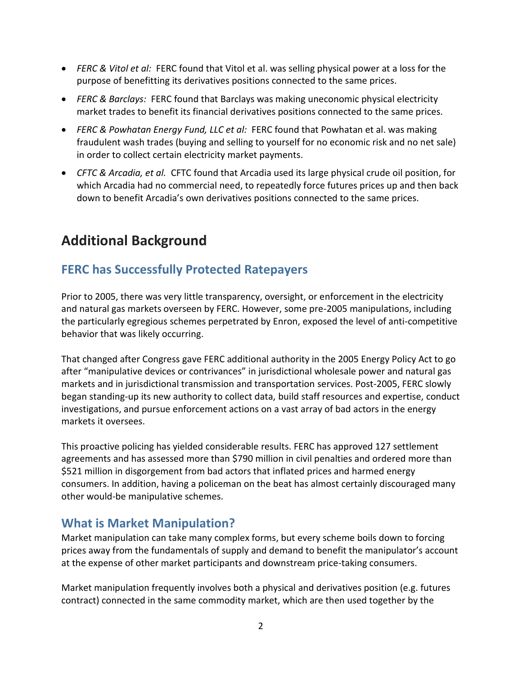- *FERC & Vitol et al:* FERC found that Vitol et al. was selling physical power at a loss for the purpose of benefitting its derivatives positions connected to the same prices.
- *FERC & Barclays:* FERC found that Barclays was making uneconomic physical electricity market trades to benefit its financial derivatives positions connected to the same prices.
- *FERC & Powhatan Energy Fund, LLC et al:* FERC found that Powhatan et al. was making fraudulent wash trades (buying and selling to yourself for no economic risk and no net sale) in order to collect certain electricity market payments.
- *CFTC & Arcadia, et al.* CFTC found that Arcadia used its large physical crude oil position, for which Arcadia had no commercial need, to repeatedly force futures prices up and then back down to benefit Arcadia's own derivatives positions connected to the same prices.

## **Additional Background**

### **FERC has Successfully Protected Ratepayers**

Prior to 2005, there was very little transparency, oversight, or enforcement in the electricity and natural gas markets overseen by FERC. However, some pre-2005 manipulations, including the particularly egregious schemes perpetrated by Enron, exposed the level of anti-competitive behavior that was likely occurring.

That changed after Congress gave FERC additional authority in the 2005 Energy Policy Act to go after "manipulative devices or contrivances" in jurisdictional wholesale power and natural gas markets and in jurisdictional transmission and transportation services. Post-2005, FERC slowly began standing-up its new authority to collect data, build staff resources and expertise, conduct investigations, and pursue enforcement actions on a vast array of bad actors in the energy markets it oversees.

This proactive policing has yielded considerable results. FERC has approved 127 settlement agreements and has assessed more than \$790 million in civil penalties and ordered more than \$521 million in disgorgement from bad actors that inflated prices and harmed energy consumers. In addition, having a policeman on the beat has almost certainly discouraged many other would-be manipulative schemes.

### **What is Market Manipulation?**

Market manipulation can take many complex forms, but every scheme boils down to forcing prices away from the fundamentals of supply and demand to benefit the manipulator's account at the expense of other market participants and downstream price-taking consumers.

Market manipulation frequently involves both a physical and derivatives position (e.g. futures contract) connected in the same commodity market, which are then used together by the